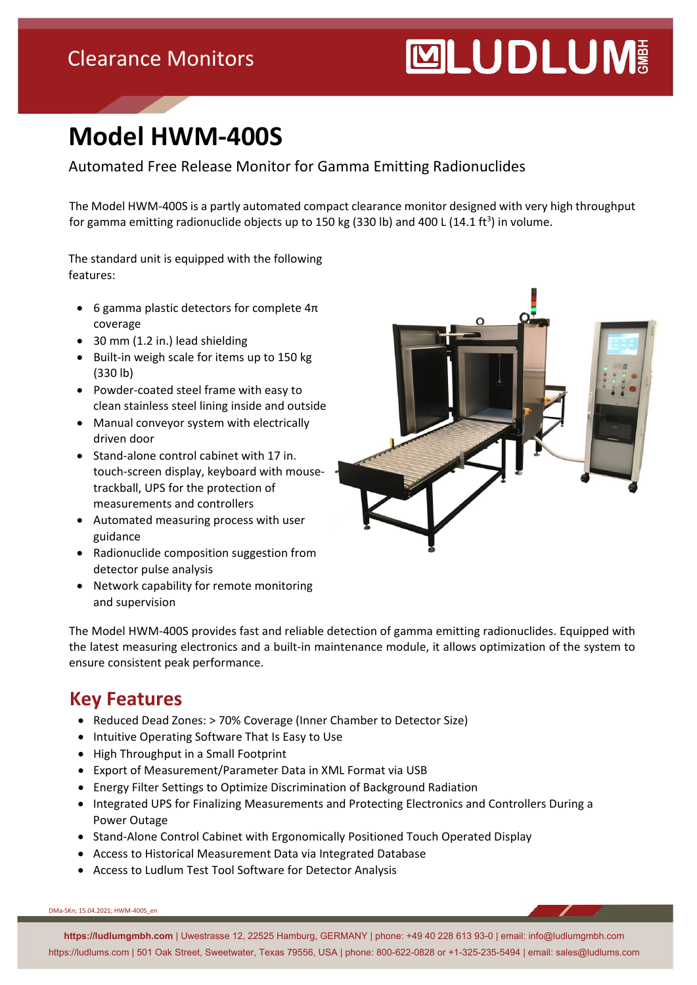### Clearance Monitors

# **MUDLUM**

## **Model HWM-400S**

Automated Free Release Monitor for Gamma Emitting Radionuclides

The Model HWM-400S is a partly automated compact clearance monitor designed with very high throughput for gamma emitting radionuclide objects up to 150 kg (330 lb) and 400 L (14.1 ft<sup>3</sup>) in volume.

The standard unit is equipped with the following features:

- 6 gamma plastic detectors for complete  $4\pi$ coverage
- 30 mm (1.2 in.) lead shielding
- Built-in weigh scale for items up to 150 kg (330 lb)
- Powder-coated steel frame with easy to clean stainless steel lining inside and outside
- Manual conveyor system with electrically driven door
- Stand-alone control cabinet with 17 in. touch-screen display, keyboard with mousetrackball, UPS for the protection of measurements and controllers
- Automated measuring process with user guidance
- Radionuclide composition suggestion from detector pulse analysis
- Network capability for remote monitoring and supervision



The Model HWM-400S provides fast and reliable detection of gamma emitting radionuclides. Equipped with the latest measuring electronics and a built-in maintenance module, it allows optimization of the system to ensure consistent peak performance.

#### **Key Features**

- Reduced Dead Zones: > 70% Coverage (Inner Chamber to Detector Size)
- Intuitive Operating Software That Is Easy to Use
- High Throughput in a Small Footprint
- Export of Measurement/Parameter Data in XML Format via USB
- Energy Filter Settings to Optimize Discrimination of Background Radiation
- Integrated UPS for Finalizing Measurements and Protecting Electronics and Controllers During a Power Outage
- Stand-Alone Control Cabinet with Ergonomically Positioned Touch Operated Display
- Access to Historical Measurement Data via Integrated Database
- Access to Ludlum Test Tool Software for Detector Analysis

DMa-SKn; 15.04.2021; HWM-400S\_en

**https://ludlumgmbh.com** | Uwestrasse 12, 22525 Hamburg, GERMANY | phone: +49 40 228 613 93-0 | email: info@ludlumgmbh.com https://ludlums.com | 501 Oak Street, Sweetwater, Texas 79556, USA | phone: 800-622-0828 or +1-325-235-5494 | email: sales@ludlums.com